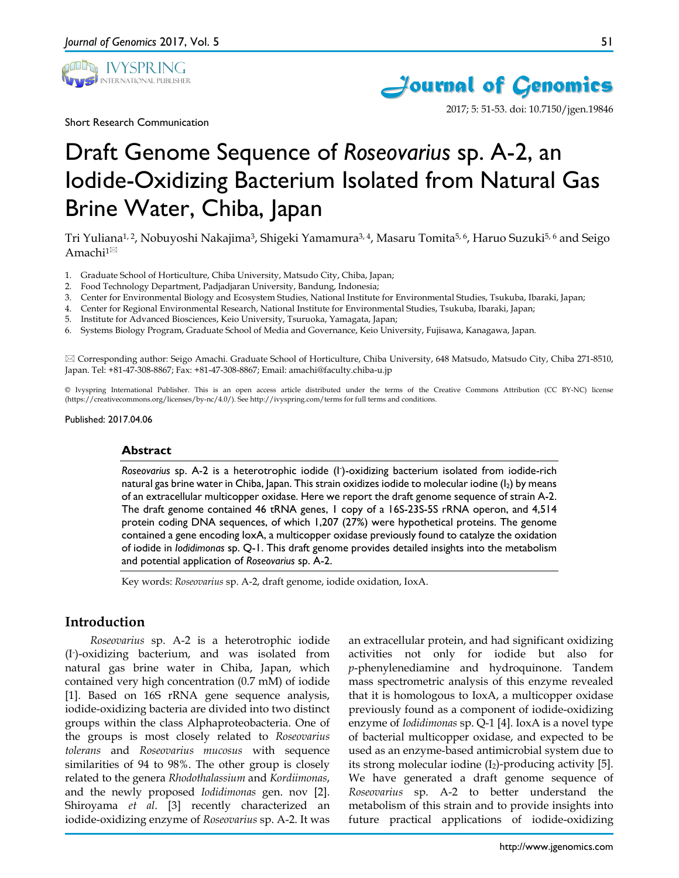

Short Research Communication



51



2017; 5: 51-53. doi: 10.7150/jgen.19846

# Draft Genome Sequence of *Roseovarius* sp. A-2, an Iodide-Oxidizing Bacterium Isolated from Natural Gas Brine Water, Chiba, Japan

Tri Yuliana<sup>1, 2</sup>, Nobuyoshi Nakajima<sup>3</sup>, Shigeki Yamamura<sup>3, 4</sup>, Masaru Tomita<sup>5, 6</sup>, Haruo Suzuki<sup>5, 6</sup> and Seigo Amachi<sup>1 $\boxtimes$ </sup>

- 1. Graduate School of Horticulture, Chiba University, Matsudo City, Chiba, Japan;
- 2. Food Technology Department, Padjadjaran University, Bandung, Indonesia;
- 3. Center for Environmental Biology and Ecosystem Studies, National Institute for Environmental Studies, Tsukuba, Ibaraki, Japan;
- 4. Center for Regional Environmental Research, National Institute for Environmental Studies, Tsukuba, Ibaraki, Japan;
- 5. Institute for Advanced Biosciences, Keio University, Tsuruoka, Yamagata, Japan;
- 6. Systems Biology Program, Graduate School of Media and Governance, Keio University, Fujisawa, Kanagawa, Japan.

 Corresponding author: Seigo Amachi. Graduate School of Horticulture, Chiba University, 648 Matsudo, Matsudo City, Chiba 271-8510, Japan. Tel: +81-47-308-8867; Fax: +81-47-308-8867; Email: amachi@faculty.chiba-u.jp

© Ivyspring International Publisher. This is an open access article distributed under the terms of the Creative Commons Attribution (CC BY-NC) license (https://creativecommons.org/licenses/by-nc/4.0/). See http://ivyspring.com/terms for full terms and conditions.

Published: 2017.04.06

## **Abstract**

Roseovarius sp. A-2 is a heterotrophic iodide (I<sup>-</sup>)-oxidizing bacterium isolated from iodide-rich natural gas brine water in Chiba, Japan. This strain oxidizes iodide to molecular iodine  $(I_2)$  by means of an extracellular multicopper oxidase. Here we report the draft genome sequence of strain A-2. The draft genome contained 46 tRNA genes, 1 copy of a 16S-23S-5S rRNA operon, and 4,514 protein coding DNA sequences, of which 1,207 (27%) were hypothetical proteins. The genome contained a gene encoding IoxA, a multicopper oxidase previously found to catalyze the oxidation of iodide in *Iodidimonas* sp. Q-1. This draft genome provides detailed insights into the metabolism and potential application of *Roseovarius* sp. A-2.

Key words: *Roseovarius* sp. A-2, draft genome, iodide oxidation, IoxA.

# **Introduction**

*Roseovarius* sp. A-2 is a heterotrophic iodide (I- )-oxidizing bacterium, and was isolated from natural gas brine water in Chiba, Japan, which contained very high concentration (0.7 mM) of iodide [1]. Based on 16S rRNA gene sequence analysis, iodide-oxidizing bacteria are divided into two distinct groups within the class Alphaproteobacteria. One of the groups is most closely related to *Roseovarius tolerans* and *Roseovarius mucosus* with sequence similarities of 94 to 98%. The other group is closely related to the genera *Rhodothalassium* and *Kordiimonas*, and the newly proposed *Iodidimonas* gen. nov [2]. Shiroyama *et al*. [3] recently characterized an iodide-oxidizing enzyme of *Roseovarius* sp. A-2. It was

an extracellular protein, and had significant oxidizing activities not only for iodide but also for *p*-phenylenediamine and hydroquinone. Tandem mass spectrometric analysis of this enzyme revealed that it is homologous to IoxA, a multicopper oxidase previously found as a component of iodide-oxidizing enzyme of *Iodidimonas* sp. Q-1 [4]. IoxA is a novel type of bacterial multicopper oxidase, and expected to be used as an enzyme-based antimicrobial system due to its strong molecular iodine  $(I_2)$ -producing activity [5]. We have generated a draft genome sequence of *Roseovarius* sp. A-2 to better understand the metabolism of this strain and to provide insights into future practical applications of iodide-oxidizing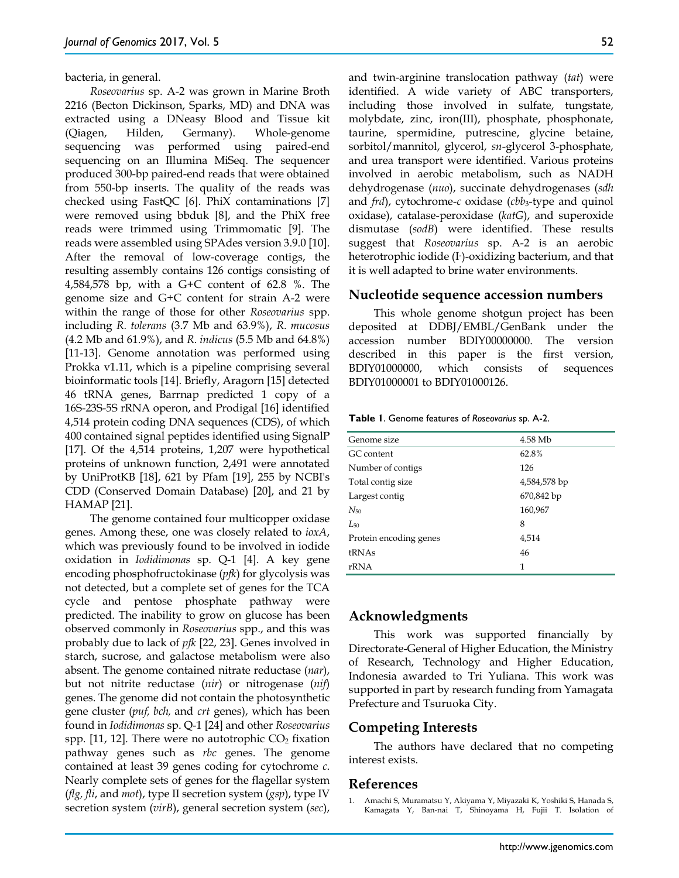bacteria, in general.

*Roseovarius* sp. A-2 was grown in Marine Broth 2216 (Becton Dickinson, Sparks, MD) and DNA was extracted using a DNeasy Blood and Tissue kit (Qiagen, Hilden, Germany). Whole-genome sequencing was performed using paired-end sequencing on an Illumina MiSeq. The sequencer produced 300-bp paired-end reads that were obtained from 550-bp inserts. The quality of the reads was checked using FastQC [6]. PhiX contaminations [7] were removed using bbduk [8], and the PhiX free reads were trimmed using Trimmomatic [9]. The reads were assembled using SPAdes version 3.9.0 [10]. After the removal of low-coverage contigs, the resulting assembly contains 126 contigs consisting of 4,584,578 bp, with a G+C content of 62.8 %. The genome size and G+C content for strain A-2 were within the range of those for other *Roseovarius* spp. including *R. tolerans* (3.7 Mb and 63.9%), *R. mucosus* (4.2 Mb and 61.9%), and *R. indicus* (5.5 Mb and 64.8%) [11-13]. Genome annotation was performed using Prokka v1.11, which is a pipeline comprising several bioinformatic tools [14]. Briefly, Aragorn [15] detected 46 tRNA genes, Barrnap predicted 1 copy of a 16S-23S-5S rRNA operon, and Prodigal [16] identified 4,514 protein coding DNA sequences (CDS), of which 400 contained signal peptides identified using SignalP [17]. Of the 4,514 proteins, 1,207 were hypothetical proteins of unknown function, 2,491 were annotated by UniProtKB [18], 621 by Pfam [19], 255 by NCBI's CDD (Conserved Domain Database) [20], and 21 by HAMAP [21].

The genome contained four multicopper oxidase genes. Among these, one was closely related to *ioxA*, which was previously found to be involved in iodide oxidation in *Iodidimonas* sp. Q-1 [4]. A key gene encoding phosphofructokinase (*pfk*) for glycolysis was not detected, but a complete set of genes for the TCA cycle and pentose phosphate pathway were predicted. The inability to grow on glucose has been observed commonly in *Roseovarius* spp., and this was probably due to lack of *pfk* [22, 23]. Genes involved in starch, sucrose, and galactose metabolism were also absent. The genome contained nitrate reductase (*nar*), but not nitrite reductase (*nir*) or nitrogenase (*nif*) genes. The genome did not contain the photosynthetic gene cluster (*puf, bch,* and *crt* genes), which has been found in *Iodidimonas* sp. Q-1 [24] and other *Roseovarius* spp.  $[11, 12]$ . There were no autotrophic  $CO<sub>2</sub>$  fixation pathway genes such as *rbc* genes. The genome contained at least 39 genes coding for cytochrome *c*. Nearly complete sets of genes for the flagellar system (*flg, fli*, and *mot*), type II secretion system (*gsp*), type IV secretion system (*virB*), general secretion system (*sec*),

and twin-arginine translocation pathway (*tat*) were identified. A wide variety of ABC transporters, including those involved in sulfate, tungstate, molybdate, zinc, iron(III), phosphate, phosphonate, taurine, spermidine, putrescine, glycine betaine, sorbitol/mannitol, glycerol, *sn*-glycerol 3-phosphate, and urea transport were identified. Various proteins involved in aerobic metabolism, such as NADH dehydrogenase (*nuo*), succinate dehydrogenases (*sdh* and *frd*), cytochrome-*c* oxidase (*cbb*<sub>3</sub>-type and quinol oxidase), catalase-peroxidase (*katG*), and superoxide dismutase (*sodB*) were identified. These results suggest that *Roseovarius* sp. A-2 is an aerobic heterotrophic iodide (I- )-oxidizing bacterium, and that it is well adapted to brine water environments.

## **Nucleotide sequence accession numbers**

This whole genome shotgun project has been deposited at DDBJ/EMBL/GenBank under the accession number BDIY00000000. The version described in this paper is the first version, BDIY01000000, which consists of sequences BDIY01000001 to BDIY01000126.

#### **Table 1**. Genome features of *Roseovarius* sp. A-2.

| Genome size            | 4.58 Mb      |
|------------------------|--------------|
| GC content             | 62.8%        |
| Number of contigs      | 126          |
| Total contig size      | 4,584,578 bp |
| Largest contig         | 670,842 bp   |
| $N_{50}$               | 160,967      |
| $L_{50}$               | 8            |
| Protein encoding genes | 4,514        |
| tRNAs                  | 46           |
| rRNA                   | 1            |
|                        |              |

## **Acknowledgments**

This work was supported financially by Directorate-General of Higher Education, the Ministry of Research, Technology and Higher Education, Indonesia awarded to Tri Yuliana. This work was supported in part by research funding from Yamagata Prefecture and Tsuruoka City.

## **Competing Interests**

The authors have declared that no competing interest exists.

# **References**

1. Amachi S, Muramatsu Y, Akiyama Y, Miyazaki K, Yoshiki S, Hanada S, Kamagata Y, Ban-nai T, Shinoyama H, Fujii T. Isolation of